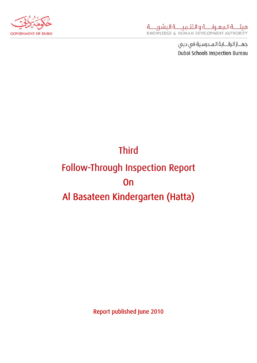

جهــاز الرقـــابة المـدرسية فى دبى Dubai Schools Inspection Bureau

# **Third** Follow-Through Inspection Report **On** Al Basateen Kindergarten (Hatta)

Report published June 2010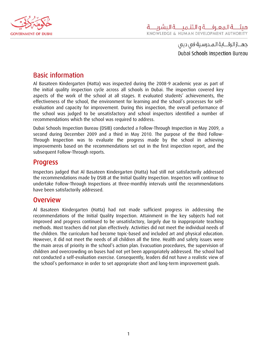

جهــاز الرقــابة المـدرسية فى دبى Dubai Schools Inspection Bureau

## Basic information

Al Basateen Kindergarten (Hatta) was inspected during the 2008-9 academic year as part of the initial quality inspection cycle across all schools in Dubai. The inspection covered key aspects of the work of the school at all stages. It evaluated students' achievements, the effectiveness of the school, the environment for learning and the school's processes for selfevaluation and capacity for improvement. During this inspection, the overall performance of the school was judged to be unsatisfactory and school inspectors identified a number of recommendations which the school was required to address.

Dubai Schools Inspection Bureau (DSIB) conducted a Follow-Through Inspection in May 2009, a second during December 2009 and a third in May 2010. The purpose of the third Follow-Through Inspection was to evaluate the progress made by the school in achieving improvements based on the recommendations set out in the first inspection report, and the subsequent Follow-Through reports.

## Progress

Inspectors judged that Al Basateen Kindergarten (Hatta) had still not satisfactorily addressed the recommendations made by DSIB at the Initial Quality Inspection. Inspectors will continue to undertake Follow-Through Inspections at three-monthly intervals until the recommendations have been satisfactorily addressed.

### Overview

Al Basateen Kindergarten (Hatta) had not made sufficient progress in addressing the recommendations of the Initial Quality Inspection. Attainment in the key subjects had not improved and progress continued to be unsatisfactory, largely due to inappropriate teaching methods. Most teachers did not plan effectively. Activities did not meet the individual needs of the children. The curriculum had become topic-based and included art and physical education. However, it did not meet the needs of all children all the time. Health and safety issues were the main areas of priority in the school's action plan. Evacuation procedures, the supervision of children and overcrowding on buses had not yet been appropriately addressed. The school had not conducted a self-evaluation exercise. Consequently, leaders did not have a realistic view of the school's performance in order to set appropriate short and long-term improvement goals.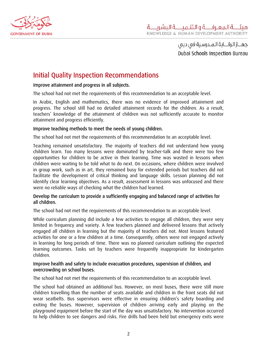

جهــاز الرقـــابة الـمــدرسـية فى دبى ِ Dubai Schools Inspection Bureau

## Initial Quality Inspection Recommendations

#### Improve attainment and progress in all subjects.

The school had not met the requirements of this recommendation to an acceptable level.

In Arabic, English and mathematics, there was no evidence of improved attainment and progress. The school still had no detailed attainment records for the children. As a result, teachers' knowledge of the attainment of children was not sufficiently accurate to monitor attainment and progress efficiently.

#### Improve teaching methods to meet the needs of young children.

The school had not met the requirements of this recommendation to an acceptable level.

Teaching remained unsatisfactory. The majority of teachers did not understand how young children learn. Too many lessons were dominated by teacher-talk and there were too few opportunities for children to be active in their learning. Time was wasted in lessons when children were waiting to be told what to do next. On occasions, where children were involved in group work, such as in art, they remained busy for extended periods but teachers did not facilitate the development of critical thinking and language skills. Lesson planning did not identify clear learning objectives. As a result, assessment in lessons was unfocused and there were no reliable ways of checking what the children had learned.

#### Develop the curriculum to provide a sufficiently engaging and balanced range of activities for all children.

The school had not met the requirements of this recommendation to an acceptable level.

While curriculum planning did include a few activities to engage all children, they were very limited in frequency and variety. A few teachers planned and delivered lessons that actively engaged all children in learning but the majority of teachers did not. Most lessons featured activities for one or a few children at a time. Consequently, others were not engaged actively in learning for long periods of time. There was no planned curriculum outlining the expected learning outcomes. Tasks set by teachers were frequently inappropriate for kindergarten children.

#### Improve health and safety to include evacuation procedures, supervision of children, and overcrowding on school buses.

The school had not met the requirements of this recommendation to an acceptable level.

The school had obtained an additional bus. However, on most buses, there were still more children travelling than the number of seats available and children in the front seats did not wear seatbelts. Bus supervisors were effective in ensuring children's safety boarding and exiting the buses. However, supervision of children arriving early and playing on the playground equipment before the start of the day was unsatisfactory. No intervention occurred to help children to see dangers and risks. Fire drills had been held but emergency exits were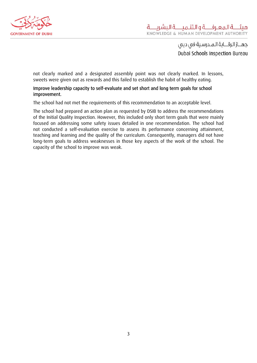

جهــاز الرقــابة المـدرسية فى دبى Dubai Schools Inspection Bureau

not clearly marked and a designated assembly point was not clearly marked. In lessons, sweets were given out as rewards and this failed to establish the habit of healthy eating.

#### Improve leadership capacity to self-evaluate and set short and long term goals for school improvement.

The school had not met the requirements of this recommendation to an acceptable level.

The school had prepared an action plan as requested by DSIB to address the recommendations of the Initial Quality Inspection. However, this included only short term goals that were mainly focused on addressing some safety issues detailed in one recommendation. The school had not conducted a self-evaluation exercise to assess its performance concerning attainment, teaching and learning and the quality of the curriculum. Consequently, managers did not have long-term goals to address weaknesses in those key aspects of the work of the school. The capacity of the school to improve was weak.